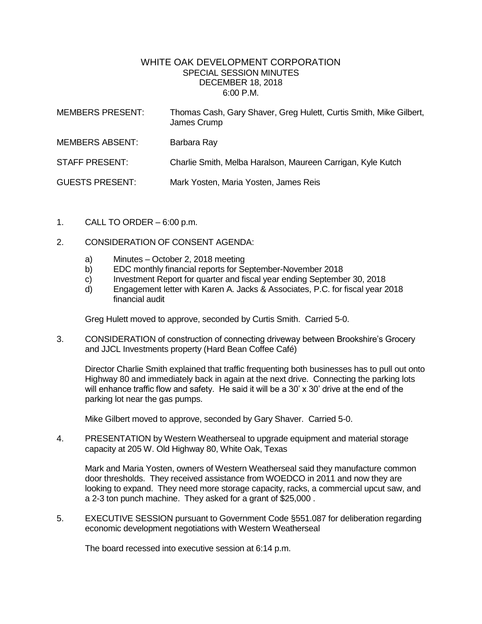## WHITE OAK DEVELOPMENT CORPORATION SPECIAL SESSION MINUTES DECEMBER 18, 2018 6:00 P.M.

| <b>MEMBERS PRESENT:</b> | Thomas Cash, Gary Shaver, Greg Hulett, Curtis Smith, Mike Gilbert,<br>James Crump |
|-------------------------|-----------------------------------------------------------------------------------|
| <b>MEMBERS ABSENT:</b>  | Barbara Ray                                                                       |
| <b>STAFF PRESENT:</b>   | Charlie Smith, Melba Haralson, Maureen Carrigan, Kyle Kutch                       |
| <b>GUESTS PRESENT:</b>  | Mark Yosten, Maria Yosten, James Reis                                             |

- 1. CALL TO ORDER  $-6:00$  p.m.
- 2. CONSIDERATION OF CONSENT AGENDA:
	- a) Minutes October 2, 2018 meeting
	- b) EDC monthly financial reports for September-November 2018
	- c) Investment Report for quarter and fiscal year ending September 30, 2018
	- d) Engagement letter with Karen A. Jacks & Associates, P.C. for fiscal year 2018 financial audit

Greg Hulett moved to approve, seconded by Curtis Smith. Carried 5-0.

3. CONSIDERATION of construction of connecting driveway between Brookshire's Grocery and JJCL Investments property (Hard Bean Coffee Café)

Director Charlie Smith explained that traffic frequenting both businesses has to pull out onto Highway 80 and immediately back in again at the next drive. Connecting the parking lots will enhance traffic flow and safety. He said it will be a 30' x 30' drive at the end of the parking lot near the gas pumps.

Mike Gilbert moved to approve, seconded by Gary Shaver. Carried 5-0.

4. PRESENTATION by Western Weatherseal to upgrade equipment and material storage capacity at 205 W. Old Highway 80, White Oak, Texas

Mark and Maria Yosten, owners of Western Weatherseal said they manufacture common door thresholds. They received assistance from WOEDCO in 2011 and now they are looking to expand. They need more storage capacity, racks, a commercial upcut saw, and a 2-3 ton punch machine. They asked for a grant of \$25,000 .

5. EXECUTIVE SESSION pursuant to Government Code §551.087 for deliberation regarding economic development negotiations with Western Weatherseal

The board recessed into executive session at 6:14 p.m.